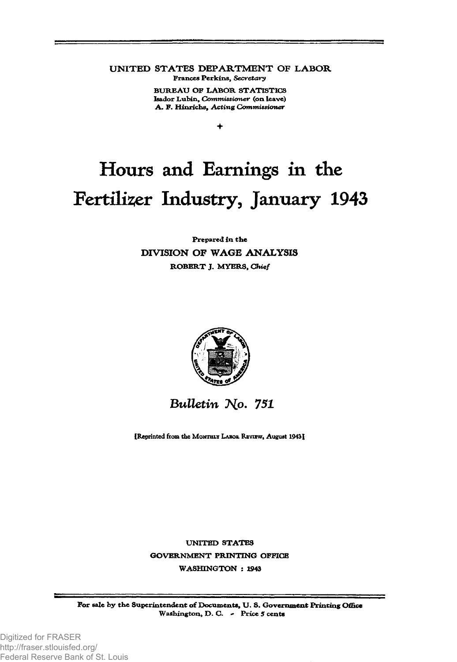**UNITED STATES DEPARTMENT OF LABOR** Frances Perkins, *Secretary*

> BUREAU OF LABOR STATISTICS Isador Lubin, *Commissioner* (on leave) A . F. H inrichs, *Acting Commissioner*

> > *+*

# Hours and Earnings in the Fertilizer Industry, January 1943

#### Prepared in the **DIVISION OF WAGE ANALYSIS** ROBERT J. MYERS, *Chief*



## *Bulletin No. 751*

[Reprinted from the MONTHLY LABOR REVIEW, August 1943]

UNITED STATES GOVERNMENT PRINTING OFFICE WASHINGTON : 1943

For sale by the Superintendent of Documents, U.S. Government Printing Office Washington, D. C. - Price 5 cents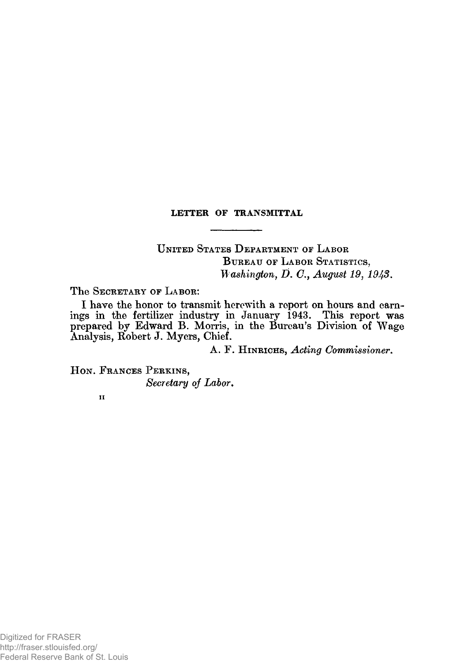#### **LETTER OF TRANSMITTAL**

UNITED STATES DEPARTMENT OF LABOR BUREAU OF LABOR STATISTICS, *Washington, D. C., August 19, 1943.* 

The SECRETARY OF LABOR:

I have the honor to transmit herewith a report on hours and earnings in the fertilizer industry in January 1943. This report was prepared by Edward B. Morris, in the Bureau's Division of Wage Analysis, Robert J. Myers, Chief.

A. F. HINRICHS, *Acting Commissioner*.

HON. FRANCES PERKINS, *Secretary of Labor*.

ii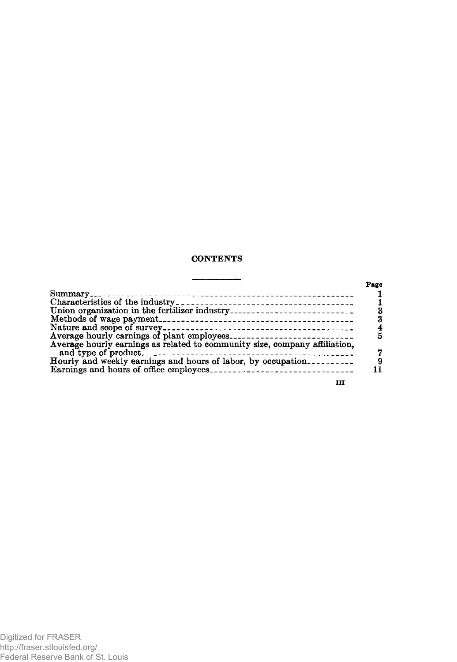#### **CONTENTS**

|                                                              | Page |
|--------------------------------------------------------------|------|
|                                                              |      |
|                                                              |      |
| Union organization in the fertilizer industry                |      |
|                                                              |      |
|                                                              |      |
|                                                              |      |
|                                                              |      |
| Hourly and weekly earnings and hours of labor, by occupation |      |
|                                                              |      |
| ш                                                            |      |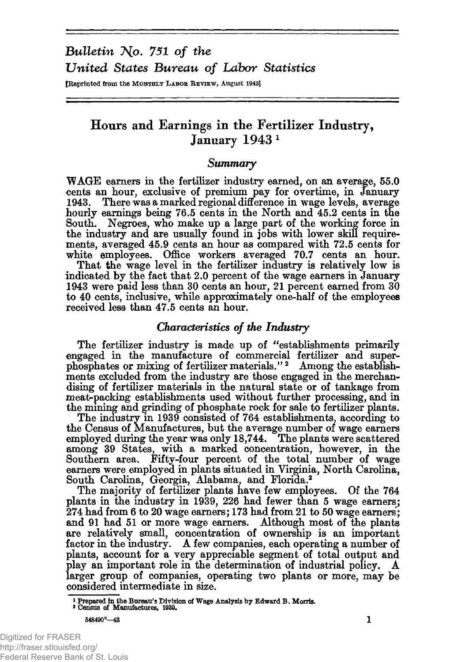# *Bulletin No. 751 of the United States Bureau of Labor Statistics*

[Reprinted from the MONTHLY LABOR REVIEW, August 1943]

### **Hours and Earnings in the Fertilizer Industry, January 1943 1**

#### *Summary*

WAGE earners in the fertilizer industry earned, on an average, 55.0 cents an hour, exclusive of premium pay for overtime, in January 1943. There was a marked regional difference in wage levels, average hourly earnings being 76.5 cents in the North and 45.2 cents in the South. Negroes, who make up a large part of the working force in the industry and are usually found in jobs with lower skill requirements, averaged 45.9 cents an hour as compared with 72.5 cents for white employees. Office workers averaged 70.7 cents an hour.

That the wage level in the fertilizer industry is relatively low is indicated by the fact that 2.0 percent of the wage earners in January 1943 were paid less than 30 cents an hour, 21 percent earned from 30 to 40 cents, inclusive, while approximately one-half of the employees received less than 47.5 cents an hour.

#### *Characteristics of the Industry*

The fertilizer industry is made up of "establishments primarily engaged in the manufacture of commercial fertilizer and superphosphates or mixing of fertilizer materials." 2 Among the establishments excluded from the industry are those engaged in the merchandising of fertilizer materials in the natural state or of tankage from meat-packing establishments used without further processing, and in the mining and grinding of phosphate rock for sale to fertilizer plants.

The industry in 1939 consisted of 764 establishments, according to the Census of Manufactures, but the average number of wage earners employed during the year was only 18,744. The plants were scattered among 39 States, with a marked concentration, however, in the Southern area. Fifty-four percent of the total number of wage earners were employed in plants situated in Virginia, North Carolina, South Carolina, Georgia, Alabama, and Florida.2

The majority of fertilizer plants have few employees. Of the 764 plants in the industry in 1939, 226 had fewer than 5 wage earners; 274 had from 6 to 20 wage earners; 173 had from 21 to 50 wage earners'; and 91 had 51 or more wage earners. Although most of the plants are relatively small, concentration of ownership is an important factor in the industry. A few companies, each operating a number of plants, account for a very appreciable segment of total output and play an important role in the determination of industrial policy. A larger group of companies, operating two plants or more, may be larger group of companies, operating two plants or more, may be considered intermediate in size.

1 Prepared in the Bureau's Division of Wage Analysis by Edward B. Morris.<br>2 Census of Manufactures, 1939.

548490°—43 1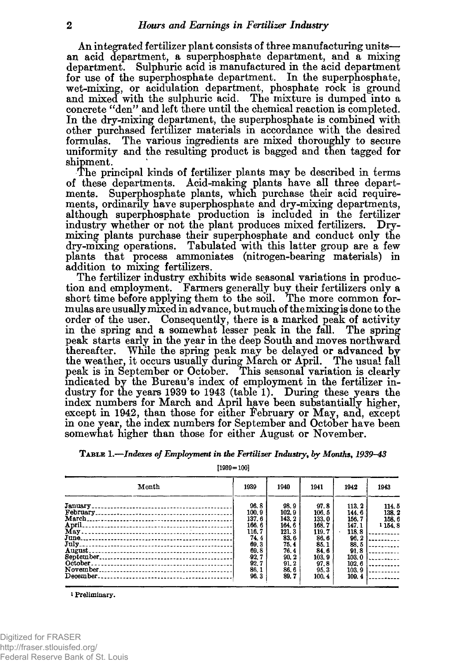An integrated fertilizer plant consists of three manufacturing units an acid department, a superphosphate department, and a mixing department. Sulphuric acid is manufactured in the acid department for use of the superphosphate department. In the superphosphate, wet-mixing, or acidulation department, phosphate rock is ground and mixed with the sulphuric acid. The mixture is dumped into a concrete "den" and left there until the chemical reaction is completed. In the dry-mixing department, the superphosphate is combined with other purchased fertilizer materials in accordance with the desired formulas. The various ingredients are mixed thoroughly to secure uniformity and the resulting product is bagged and then tagged for shipment.

The principal kinds of fertilizer plants may be described in terms of these departments. Acid-making plants have all three departments. Superphosphate plants, which purchase their acid requirements, ordinarily have superphosphate and dry-mixing departments, although superphosphate production is included in the fertilizer industry whether or not the plant produces mixed fertilizers. Drymixing plants purchase their superphosphate and conduct only the dry-mixing operations. Tabulated with this latter group are a few plants that process ammoniates (nitrogen-bearing materials) in addition to mixing fertilizers.

The fertilizer industry exhibits wide seasonal variations in production and employment. Farmers generally buy their fertilizers only a short time before applying them to the soil. The more common formulas are usually mixed in advance, but much of the mixing is done to the order of the user. Consequently, there is a marked peak of activity in the spring and a somewhat lesser peak in the fall. The spring peak starts early in the year in the deep South and moves northward While the spring peak may be delayed or advanced by the weather, it occurs usually during March or April. The usual fall peak is in September or October. This seasonal variation is clearly indicated by the Bureau's index of employment in the fertilizer industry for the years 1939 to 1943 (table 1). During these years the index numbers for March and April have been substantially higher, except in 1942, than those for either February or May, and, except in one year, the index numbers for September and October have been somewhat higher than those for either August or November.

|  |  | TABLE 1.—Indexes of Employment in the Fertilizer Industry, by Months, 1939–43 |
|--|--|-------------------------------------------------------------------------------|
|--|--|-------------------------------------------------------------------------------|

[1939=100]

| Month                  | 1939                                                                                                | 1940                                                                                             | 1941                                                                                               | 1942                                                                                                  | 1943                                                                                                                        |
|------------------------|-----------------------------------------------------------------------------------------------------|--------------------------------------------------------------------------------------------------|----------------------------------------------------------------------------------------------------|-------------------------------------------------------------------------------------------------------|-----------------------------------------------------------------------------------------------------------------------------|
| <b>March</b><br>April. | 96.8<br>100.9<br>137.6<br>166.6<br>116.7<br>74.4<br>69.3<br>69.8<br>$-92.7$<br>92.7<br>86.1<br>96.3 | 98.9<br>102.9<br>143.2<br>164.6<br>121.3<br>83.6<br>75.4<br>76.4<br>90.2<br>91.2<br>86.6<br>89.7 | 97.8<br>106.5<br>133.0<br>168.7<br>119.7<br>86.6<br>85.1<br>84.6<br>103.9<br>97.8<br>95.3<br>100.4 | 113.2<br>144.6<br>156.7<br>147.1<br>118.8<br>96.2<br>88.5<br>91.8<br>103.0<br>102.6<br>103.9<br>109.4 | 114.5<br>138.2<br>158.6<br>1 154.8<br>.<br>. <b>.</b><br>.<br>a de la companya<br>a a componente della<br><b>Contractor</b> |

<sup>1</sup> Preliminary.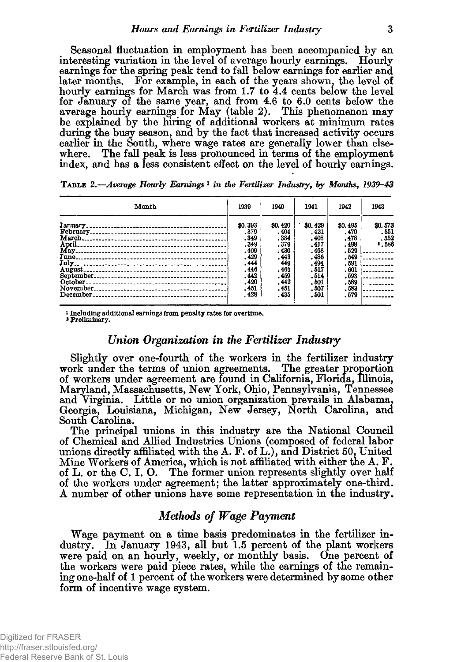Seasonal fluctuation in employment has been accompanied by an interesting variation in the level of average hourly earnings. Hourly earnings for the spring peak tend to fall below earnings for earlier and<br>later months. For example, in each of the years shown, the level of For example, in each of the years shown, the level of hourly earnings for March was from 1.7 to 4.4 cents below the level for January of the same year, and from 4.6 to 6.0 cents below the average hourly earnings for May (table 2). This phenomenon may be explained by the firing of additional workers at minimum rates during the busy season, and by the fact that increased activity occurs earlier in the South, where wage rates are generally lower than elsewhere. The fall peak is less pronounced in terms of the employment index, and has a less consistent effect on the level of hourly earnings.

T a b l e 2 .*—Average Hourly Earnings* **1** *in the Fertilizer Industry***,** *by Months***,** *1939-43*

| Month                                                                              | 1939                                                                            | 1940                                                                           | 1941                                                                             | 1942                                                                            | 1943                                                                                   |
|------------------------------------------------------------------------------------|---------------------------------------------------------------------------------|--------------------------------------------------------------------------------|----------------------------------------------------------------------------------|---------------------------------------------------------------------------------|----------------------------------------------------------------------------------------|
| March.<br>April.<br>June.                                                          | \$0.393<br>.379<br>.349<br>.349<br>.409<br>.429<br>.444<br>.446<br>.442<br>.420 | \$0,420<br>.404<br>.384<br>.379<br>.430<br>.443<br>449<br>.466<br>.459<br>.442 | \$0.429<br>.421<br>.408<br>.417<br>.468<br>. 486<br>.494<br>.517<br>.514<br>.501 | \$0,495<br>.470<br>.478<br>.498<br>.529<br>.549<br>.591<br>.601<br>.593<br>.589 | \$0.573<br>.551<br>.552<br>1,586<br>.<br>--------<br>---------<br>$--- - - - - -$<br>. |
| November.<br>December.<br>------ <b>--</b> ------------------ <b>---------</b> --- | .451<br>.428                                                                    | .451<br>.435                                                                   | .507<br>.501                                                                     | .583<br>.579                                                                    | .                                                                                      |

i Including additional earnings from penalty rates for overtime.

\* Preliminary.

#### *Union Organization in the Fertilizer Industry*

Slightly over one-fourth of the workers in the fertilizer industry work under the terms of union agreements. The greater proportion of workers under agreement are found in California, Florida, Illinois, Maryland, Massachusetts, New York, Ohio, Pennsylvania, Tennessee and Virginia. Little or no union organization prevails in Alabama, Georgia, Louisiana, Michigan, New Jersey, North Carolina, and South Carolina.

The principal unions in this industry are the National Council of Chemical and Allied Industries Unions (composed of federal labor unions directly affiliated with the A. F. of L.), and District 50, United Mine Workers of America, which is not affiliated with either the A. F. of L. or the C. I. O. The former union represents slightly over half of the workers under agreement; the latter approximately one-third. A number of other unions have some representation in the industry.

#### *Methods of Wage Payment*

Wage payment on a time basis predominates in the fertilizer industry. In January 1943, all but 1.5 percent of the plant workers were paid on an hourly, weekly, or monthly basis. One percent of the workers were paid piece rates, while the earnings of the remaining one-half of 1 percent of the workers were determined by some other form of incentive wage system.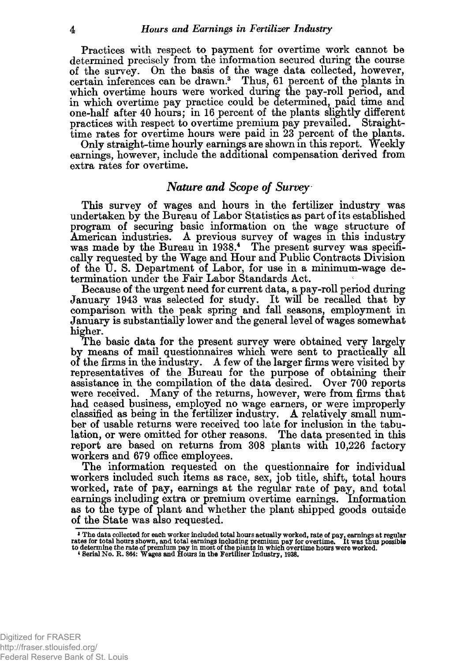Practices with respect to payment for overtime work cannot be determined precisely from the information secured during the course of the survey. On the basis of the wage data collected, however, certain inferences can be drawn.3 Thus, 61 percent of the plants in which overtime hours were worked during the pay-roll period, and in which overtime pay practice could be determined, paid time and one-half after 40 hours; in 16 percent of the plants slightly different practices with respect to overtime premium pay prevailed. Straighttime rates for overtime hours were paid in 23 percent of the plants.

Only straight-time hourly earnings are shown in this report. Weekly earnings, however, include the additional compensation derived from extra rates for overtime.

#### *Nature and Scope of Survey*

This survey of wages and hours in the fertilizer industry was undertaken by the Bureau of Labor Statistics as part of its established program of securing basic information on the wage structure of American industries. A previous survey of wages in this industry was made by the Bureau in 1938.<sup>4</sup> The present survey was specifically requested by the Wage and Hour and Public Contracts Division of the U. S. Department of Labor, for use in a minimum-wage determination under the Fair Labor Standards Act.

Because of the urgent need for current data, a pay-roll period during comparison with the peak spring and fall seasons, employment in January is substantially lower and the general level of wages somewhat higher. January 1943 was selected for study. It will be recalled that by

The basic data for the present survey were obtained very largely by means of mail questionnaires which were sent to practically all of the firms in the industry. A few of the larger firms were visited by representatives of the Bureau for the purpose of obtaining their assistance in the compilation of the data desired. Over 700 reports were received. Many of the returns, however, were from firms that had ceased business, employed no wage earners, or were improperly classified as being in the fertilizer industry. A relatively small number of usable returns were received too late for inclusion in the tabulation, or were omitted for other reasons. The data presented in this report are based on returns from 308 plants with 10,226 factory workers and 679 office employees.

The information requested on the questionnaire for individual workers included such items as race, sex, job title, shift, total hours worked, rate of pay, earnings at the regular rate of pay, and total earnings including extra or premium overtime earnings. Information as to the type of plant and whether the plant shipped goods outside of the State was also requested.

The data collected for each worker included total hours actually worked, rate of pay, earnings at regular rates for total hours shown, and total earnings including premium pay for overtime. It was thus possible to determi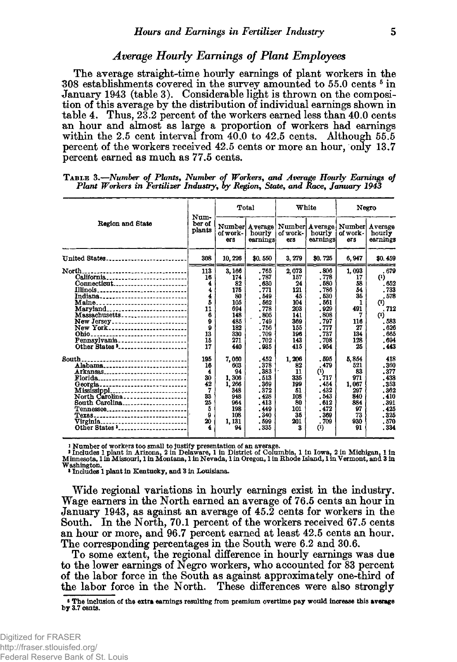#### *Average Hourly Earnings of Plant Employees*

The average straight-time hourly earnings of plant workers in the 308 establishments covered in the survey amounted to 55.0 cents <sup>5</sup> in January 1943 (table 3). Considerable light is thrown on the composition of this average by the distribution of individual earnings shown in table 4. Thus, 23.2 percent of the workers earned less than 40.0 cents an hour and almost as large a proportion of workers had earnings within the 2.5 cent interval from 40.0 to 42.5 cents. Although 55.5 percent of the workers received 42.5 cents or more an hour, omy 13.7 percent earned as much as 77.5 cents.

|                                                                                                                                                                                                                                                                                                       | Num-                                                                 |                                                                                          | Total                                                                                                  |                                                                                         | White                                                                                                           |                                                                                  | Negro                                                                                                                                                   |
|-------------------------------------------------------------------------------------------------------------------------------------------------------------------------------------------------------------------------------------------------------------------------------------------------------|----------------------------------------------------------------------|------------------------------------------------------------------------------------------|--------------------------------------------------------------------------------------------------------|-----------------------------------------------------------------------------------------|-----------------------------------------------------------------------------------------------------------------|----------------------------------------------------------------------------------|---------------------------------------------------------------------------------------------------------------------------------------------------------|
| Region and State                                                                                                                                                                                                                                                                                      | ber of<br>plants                                                     | of work-<br>ers                                                                          | hourly<br>earnings                                                                                     | of work-<br>ers                                                                         | Number  Average   Number  Average  <br>hourly<br>earnings                                                       | of work -<br>ers                                                                 | Number Average<br>hourly<br>earnings                                                                                                                    |
| United States                                                                                                                                                                                                                                                                                         | 308                                                                  | 10, 226                                                                                  | \$0,550                                                                                                | 3, 279                                                                                  | \$0.725                                                                                                         | 6,947                                                                            | \$0,459                                                                                                                                                 |
| North.<br>----------------------------<br>California<br>$Connecticut$ <sub>-----------------------</sub><br>Illinois <sub>--------</sub> -----------------------<br>Indiana<br>Maine<br>Maryland<br>Massachusetts<br>Ohio…<br>-------------------------<br>Pennsylvania<br>Other States $\frac{1}{2}$ | 113<br>16<br>4<br>4<br>4<br>5<br>11<br>ĥ<br>ø<br>9<br>13<br>15<br>17 | 3, 166<br>174<br>82<br>175<br>80<br>105<br>694<br>148<br>485<br>182<br>330<br>271<br>440 | . 765<br>. 787<br>.630<br>.771<br>.549<br>.562<br>.778<br>.805<br>.749<br>.756<br>.709<br>.702<br>.935 | 2,073<br>157<br>24<br>121<br>45<br>104<br>203<br>141<br>369<br>155<br>196<br>143<br>415 | .806<br>.778<br>.580<br>.786<br>.530<br>.561<br>.929<br>.808<br>.797<br>. 777<br>.737<br>.708<br>.954           | 1,093<br>17<br>58<br>54<br>35<br>491<br>7<br>116<br>27<br>134<br>128<br>25       | . 679<br>$^{\left(1\right)}$<br>.652<br>.733<br>.578<br>$^{\text{\tiny{(1)}}}$<br>.712<br>$^{\left(1\right)}$<br>.583<br>.626<br>.665<br>. 694<br>. 443 |
| South.<br>Alabama<br>Arkansas<br>Florida<br>Mississippi<br>North Carolina<br>South Carolina<br>Tennessee<br>Texas<br>Other States '                                                                                                                                                                   | 195<br>16<br>4<br>30<br>42<br>7<br>33<br>25<br>5<br>9<br>20          | 7.060<br>603<br>94<br>1.306<br>1.266<br>348<br>948<br>964<br>198<br>108<br>1,131<br>94   | .452<br>.378<br>.383<br>.513<br>.369<br>.372<br>.428<br>. 413<br>. 449<br>.340<br>.599<br>.335         | 1, 206<br>82<br>11<br>335<br>199<br>51<br>108<br>80<br>101<br>35<br>201<br>3            | .595<br>.479<br>$^{\text{\tiny{(1)}}}$<br>.717<br>. 454<br>.432<br>.543<br>.612<br>.472<br>.369<br>. 709<br>(1) | 5.854<br>521<br>83<br>971<br>1.067<br>297<br>840<br>884<br>97<br>73<br>930<br>91 | 418<br>.360<br>.377<br>.438<br>.353<br>.362<br>.410<br>. 391<br>.425<br>.325<br>.570<br>. 334                                                           |

T a b l e 3 .*—Number of Plants, Number of Workers***,** *and Average Hourly Earnings of Plant Workers in Fertilizer Industry***,** *by Region***,** *State***,** *and Race, January 1943*

l Number of workers too small to justify presentation of an average.<br>Includes 1 plant in Arizona, 2 in Delaware, 1 in District of Columbia, 1 in Iowa, 2 in Michigan, 1 in<br>Minnesota, 1 in Missouri, 1 in Montana, 1 in Nevada Washington.

\* Includes 1 plant in Kentucky, and 3 in Louisiana.

Wide regional variations in hourly earnings exist in the industry. Wage earners in the North earned an average of 76.5 cents an hour in January 1943, as against an average of 45.2 cents for workers in the South. In the North, 70.1 percent of the workers received 67.5 cents an hour or more, and 96.7 percent earned at least 42.5 cents an hour. The corresponding percentages in the South were 6.2 and 30.6.

To some extent, the regional difference in hourly earnings was due to the lower earnings of Negro workers, who accounted for 83 percent of the labor force in the South as against approximately one-third of the labor force in the North. These differences were also strongly

5 The inclusion of the extra earnings resulting from premium overtime pay would increase this average by 3.7 cents.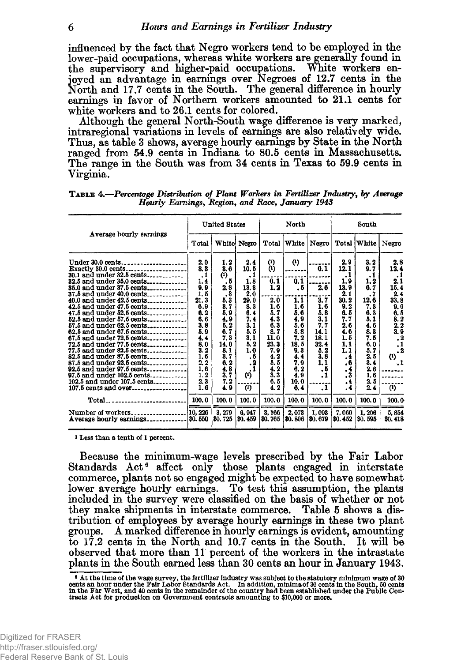influenced by the fact that Negro workers tend to be employed in the lower-paid occupations, whereas white workers are generally found in the supervisory and higher-paid occupations. White workers enjoyed an advantage in earnings over Negroes of 12.7 cents in the North and 17.7 cents in the South. The general difference in hourly earnings in favor of Northern workers amounted to 21.1 cents for white workers and to 26.1 cents for colored.

Although the general North-South wage difference is very marked, intraregional variations in levels of earnings are also relatively wide. Thus, as table 3 shows, average hourly earnings by State in the North ranged from 54.9 cents in Indiana to 80.5 cents in Massachusetts. The range in the South was from 34 cents in Texas to 59.9 cents in Virginia.

|                                                                                                                                                                                                                                                                                                                                                                                                                                                                                                                                                              |                                                                                                                                                                                                 | <b>United States</b>                                                                                                                                        |                                                                                                                                                          |                                                                                                                                                                     | North                                                                                                                           |                                                                                                                    |                                                                                                                                                        | South                                                                                                                                                    |                                                                                                                                                          |  |
|--------------------------------------------------------------------------------------------------------------------------------------------------------------------------------------------------------------------------------------------------------------------------------------------------------------------------------------------------------------------------------------------------------------------------------------------------------------------------------------------------------------------------------------------------------------|-------------------------------------------------------------------------------------------------------------------------------------------------------------------------------------------------|-------------------------------------------------------------------------------------------------------------------------------------------------------------|----------------------------------------------------------------------------------------------------------------------------------------------------------|---------------------------------------------------------------------------------------------------------------------------------------------------------------------|---------------------------------------------------------------------------------------------------------------------------------|--------------------------------------------------------------------------------------------------------------------|--------------------------------------------------------------------------------------------------------------------------------------------------------|----------------------------------------------------------------------------------------------------------------------------------------------------------|----------------------------------------------------------------------------------------------------------------------------------------------------------|--|
| Average hourly earnings                                                                                                                                                                                                                                                                                                                                                                                                                                                                                                                                      | Total                                                                                                                                                                                           |                                                                                                                                                             | White Negro                                                                                                                                              | Total                                                                                                                                                               | White                                                                                                                           | Negro                                                                                                              |                                                                                                                                                        | Total White                                                                                                                                              | Negro                                                                                                                                                    |  |
| Under 30.0 cents<br>32.5 and under 35.0 cents<br>35.0 and under 37.5 cents<br>37.5 and under 40.0 cents<br>40.0 and under 42.5 cents<br>42.5 and under 47.5 cents<br>47.5 and under 52.5 cents<br>52.5 and under 57.5 cents<br>57.5 and under 62.5 cents<br>62.5 and under 67.5 cents<br>67.5 and under 72.5 cents<br>72.5 and under 77.5 cents<br>77.5 and under 82.5 cents<br>82.5 and under 87.5 cents<br>87.5 and under 92.5 cents<br>92.5 and under $97.5$ cents<br>97.5 and under 102.5 cents<br>102.5 and under 107.5 cents<br>$107.5$ cents and over | 2.0<br>8, 3<br>$\cdot$ <sub>1</sub><br>1.4<br>9.9<br>1.5<br>21.3<br>6.9<br>6.2<br>6.6<br>3.8<br>5.9<br>4.4<br>8.0<br>$\overline{3}$ . $\overline{2}$<br>1.6<br>2, 2<br>1.6<br>1.2<br>2.3<br>1.6 | 1.2<br>3.6<br>$\bf{c}$<br>. 5<br>2.8<br>3<br>٠<br>5.3<br>3.7<br>5. 9<br>4.9<br>5.2<br>6.7<br>7.3<br>14. 0<br>8.1<br>3.7<br>6.2<br>4.8<br>3, 7<br>7.2<br>4.9 | 2.4<br>10.5<br>.1<br>1.8<br>13.3<br>2.0<br>29.0<br>8.3<br>6.4<br>7.4<br>3. 1<br>5.5<br>3.1<br>5.2<br>1.0<br>.6<br>. 2<br>. 1<br>(4)<br>$\left( 0\right)$ | $\begin{pmatrix} 1 \\ 1 \end{pmatrix}$<br>0.1<br>1.2<br>2.0<br>1.6<br>5. 7<br>4.3<br>6.3<br>8.7<br>11.0<br>23.3<br>7. 9<br>4. 2<br>5.5<br>4.2<br>3, 3<br>6.5<br>4.2 | (4)<br>0.1<br>. 5<br>1.1<br>1.6<br>5.6<br>4.9<br>5. 6<br>5, 8<br>7. 2<br>18.5<br>9.3<br>4.4<br>7.9<br>6.2<br>4.9<br>10.0<br>6.4 | 0.1<br>2.6<br>3.7<br>1.6<br>5.8<br>3.1<br>7.7<br>14.1<br>18.1<br>32.4<br>5.2<br>3.8<br>1.1<br>. 5<br>.1<br>$\cdot$ | 2. 9<br>12.1<br>.1<br>1.9<br>13.9<br>2.1<br>30.2<br>9, 2<br>6.5<br>7.7<br>2.6<br>4.6<br>1.5<br>1, 1<br>1.1<br>.4<br>.6<br>. 4<br>. 3<br>. 4<br>$\cdot$ | 3.2<br>9. 7<br>.1<br>1.2<br>6.7<br>$\cdot$ 7<br>12.6<br>7.3<br>6.3<br>5.1<br>4.6<br>8.3<br>7.5<br>6.0<br>5.7<br>2.5<br>3.4<br>2.6<br>1, 6<br>2. 5<br>2.4 | 2.8<br>12.4<br>.1<br>2.1<br>15.4<br>2.4<br>33.8<br>9.6<br>6.5<br>8.2<br>2, 2<br>3.9<br>$\cdot$<br>$\cdot$<br>$\cdot$<br>$\bf{a}$<br>.1<br>$\overline{r}$ |  |
| ------------------------ 100.0<br>Total.                                                                                                                                                                                                                                                                                                                                                                                                                                                                                                                     |                                                                                                                                                                                                 | 100.0                                                                                                                                                       | 100.0                                                                                                                                                    | 100.0                                                                                                                                                               | 100.0                                                                                                                           | 100.0                                                                                                              | 100.0                                                                                                                                                  | 100.0                                                                                                                                                    | 100.0                                                                                                                                                    |  |
| Number of workers                                                                                                                                                                                                                                                                                                                                                                                                                                                                                                                                            | 10, 226                                                                                                                                                                                         | 3, 279<br>\$0.725                                                                                                                                           | 6,947<br>\$0.459                                                                                                                                         | 3, 166<br>\$0.765                                                                                                                                                   | 2,073<br>80.806                                                                                                                 | 1,093<br>80. 679                                                                                                   | 7,060<br>80.452                                                                                                                                        | 1.206<br>\$0.595                                                                                                                                         | 5,854<br>\$0.418                                                                                                                                         |  |

| TABLE 4.—Percentage Distribution of Plant Workers in Fertilizer Industry, by Average |
|--------------------------------------------------------------------------------------|
| Hourly Earnings, Region, and Race, January 1943                                      |

<sup>1</sup> Less than a tenth of 1 percent.

Because the minimum-wage levels prescribed by the Fair Labor Standards Act<sup>6</sup> affect only those plants engaged in interstate commerce, plants not so engaged might be expected to have somewhat lower average hourly earnings. To test this assumption, the plants included in the survey were classified on the basis of whether or not they make shipments in interstate commerce. Table 5 shows a distribution of employees by average hourly earnings in these two plant groups. A marked difference in hourly earnings is evident, amounting to 17.2 cents in the North and 10.7 cents in the South. It will be observed that more than 11 percent of the workers in the intrastate plants in the South earned less than 30 cents an hour in January 1943.

<sup>&</sup>lt;sup>6</sup> At the time of the wage survey, the fertilizer industry was subject to the statutory minimum wage of 30 cents an hour under the Fair Labor Standards Act. In addition, minima of 30 cents in the Fair West, and 40 cents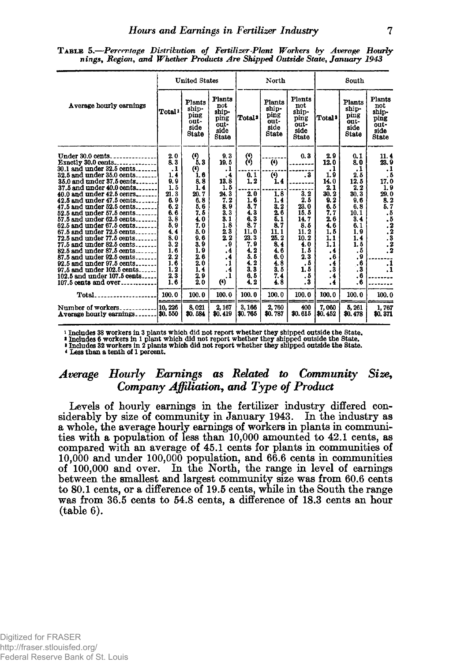TABLE 5.<sup>-</sup>Percentage Distribution of Fertilizer-Plant Workers by Average Hourly *nings***,** *Region***,** *and Whether Products Are Shipped Outside State***,** *January 1943*

|                                                                                                                        |                           | <b>United States</b>                             |                                                                |                            | North                                            |                                                                          | South                       |                                                  |                                                                |
|------------------------------------------------------------------------------------------------------------------------|---------------------------|--------------------------------------------------|----------------------------------------------------------------|----------------------------|--------------------------------------------------|--------------------------------------------------------------------------|-----------------------------|--------------------------------------------------|----------------------------------------------------------------|
| Average hourly earnings                                                                                                | Total <sup>1</sup>        | Plants<br>ship-<br>ping<br>out-<br>side<br>State | Plants<br>not<br>ship-<br>ping<br>out-<br>side<br><b>State</b> | Total <sup>2</sup>         | Plants<br>ship-<br>ping<br>out-<br>side<br>State | Plants<br>$_{\rm{net}}$<br>shin-<br>ping<br>out-<br>side<br><b>State</b> | Total <sup>3</sup>          | Plants<br>ship-<br>ping<br>out-<br>side<br>State | Plants<br>not<br>ship-<br>ping<br>out-<br>side<br><b>State</b> |
| Exactly 30.0 cents<br>30.1 and under 32.5 cents                                                                        | 2.0<br>8.3<br>$\cdot$     | $\binom{6}{5}$ , 3<br>(4)                        | 9,3<br>19, 5<br>.1                                             | $\binom{4}{4}$             | $\left( 4\right)$                                | 0,3                                                                      | 2.9<br>12.0<br>.1           | 0.1<br>8.0<br>.1                                 | $\frac{11.4}{23.9}$                                            |
| 32.5 and under 35.0 cents<br>$35.0$ and under $37.5$ cents<br>37.5 and under 40.0 cents<br>40.0 and under $42.5$ cenrs | 1,4<br>9,9<br>1.5<br>21.3 | 1.6<br>8.8<br>1.4<br>20. 7                       | $\cdot$<br>13.8<br>1.5<br>24.3                                 | $0.1$<br>1.2<br>2.0        | $\left( 4\right)$<br>1.4<br>1,8                  | . 3<br>3, 2                                                              | 1.9<br>14.0<br>2.1<br>30.2  | 2.5<br>12.5<br>2.2<br>30.3                       | $\begin{array}{c} 1.1 \\ -1.5 \\ 17.0 \\ 1.9 \end{array}$      |
| 42.5 and under $47.5$ cents<br>47.5 and under $52.5$ cents<br>52.5 and under 57.5 cents                                | 6.9<br>6.2<br>6.6         | 6.8<br>5.6<br>7. 5                               | 7.2<br>8.9<br>3.3                                              | 1.6<br>5.7<br>4.3          | 1,4<br>3.2<br>2.6                                | 2.5<br>23.0<br>15.5                                                      | 9.2<br>6.5<br>7.7           | 9,6<br>6, 8<br>$\frac{10.1}{3.4}$                | $29.0$<br>8.2<br>5.7                                           |
| 57.5 and under 62.5 cents<br>62.5 and under $67.5$ cents<br>$67.5$ and under $72.5$ cents<br>72.5 and under 77.5 cents | 3,8<br>5.9<br>4, 4<br>8.0 | 4.0<br>7.0<br>5.0<br>9.6                         | 3.1<br>1.8<br>2.3<br>$\bf 2.2$                                 | 6,3<br>8.7<br>11.0<br>23.3 | $\overline{5}$ , 1<br>8.7<br>11.1<br>25.2        | 14.7<br>8.5<br>11.2<br>10.2                                              | 2.6<br>4.6<br>1.5<br>1.1    | 6.1<br>1.9<br>1.4                                | $.553\n.223\n.322$                                             |
| 77.5 and under 82.5 cents<br>$82.5$ and under $87.5$ cents<br>87.5 and under 92.5 cents<br>92.5 and under 97.5 cents   | 3, 2<br>1.6<br>2.2<br>1.6 | 3.9<br>1.9<br>2.6<br>2.0                         | . 9<br>, 4<br>.4<br>.1                                         | 7.9<br>4.2<br>5.5<br>4.2   | 8, 4<br>4.6<br>6.0<br>4.8                        | 4.0<br>1.5<br>2.3<br>. 5                                                 | 1, 1<br>$\cdot$<br>.6<br>.4 | 1.5<br>. 5<br>.9<br>.6                           |                                                                |
| 97.5 and under 102.5 cents<br>102.5 and under 107.5 cents<br>$107.5$ cents and over                                    | 1.2<br>2,3<br>1.6         | 1.4<br>29<br>$\dot{2}0$                          | $\cdot$<br>.1<br>$\left( 4\right)$                             | 3,3<br>6.5<br>4.2          | 3.5<br>7.4<br>4.8                                | 1.5<br>. 5<br>. 3                                                        | $\cdot$ 3<br>. 4<br>.4      | $\cdot$ 3<br>.6<br>.6                            | $\frac{1}{1}$                                                  |
|                                                                                                                        | 100.0                     | 100.0                                            | 100.0                                                          | 100.0                      | 100.0                                            | 100.0                                                                    | 100.0                       | 100.0                                            | 100.0                                                          |
| Average hourly earnings \$0.550                                                                                        |                           | 8,021<br>\$0,584                                 | 2, 167<br>\$0,419                                              | 3,166<br>\$0.765           | 2,760<br>\$0.787                                 | 400<br>\$0.615                                                           | 7,060<br>\$0.452            | 5, 261<br>\$0.478                                | 1,767<br>\$0,371                                               |

<sup>1</sup> Includes 33 workers in 3 plants which did not report whether they shipped outside the State.<br>**<sup>2</sup> Includes 6 workers in 1 plant which did not report whether they shipped outside the State.<br>***3* **Includes 32 workers in 2** 

4 Less than a tenth of 1 percent.

#### *Average Hourly Earnings as Related to Community Size***,** *Company Affiliation, and Type of Product*

Levels of hourly earnings in the fertilizer industry differed considerably by size of community in January 1943. In the industry as a whole, the average hourly earnings of workers in plants in communities with a population of less than 10,000 amounted to 42.1 cents, as compared with an average of 45.1 cents for plants in communities of 10,000 and under 100,000 population, and 66.6 cents in communities of 100,000 and over. In the North, the range in level of earnings between the smallest and largest community size was from 60.6 cents to 80.1 cents, or a difference of 19.5 cents, while in the South the range was from 36.5 cents to 54.8 cents, a difference of 18.3 cents an hour (table 6).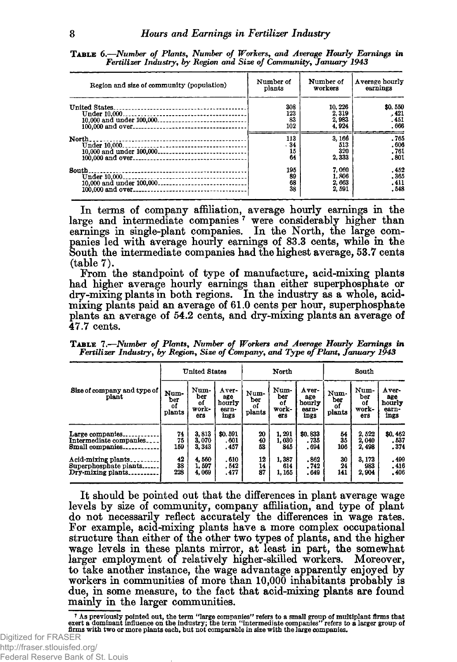| Region and size of community (population)                        | Number of<br>plants     | Number of<br>workers              | Average hourly<br>earnings      |
|------------------------------------------------------------------|-------------------------|-----------------------------------|---------------------------------|
| <b>United States</b><br>Under 10.000<br>10.000 and under 100,000 | 308<br>123<br>83<br>102 | 10.226<br>2.319<br>2,983<br>4.924 | \$0,550<br>.421<br>.451<br>.666 |
| North.<br>10,000 and under 100,000                               | 113<br>.34<br>15<br>64  | 3.166<br>513<br>320<br>2,333      | .765<br>.606<br>.761<br>.801    |
| South                                                            | 195<br>89<br>68<br>38   | 7,060<br>1,806<br>2,663<br>2,591  | .452<br>.365<br>.411<br>.548    |

TABLE 6.-Number of Plants, Number of Workers, and Average Hourly Earnings in *Fertilizer Industry, by Region and Size of Community***,** *January 1943*

In terms of company affiliation, average hourly earnings in the large and intermediate companies<sup>7</sup> were considerably higher than earnings in single-plant companies. In the North, the large companies led with average hourly earnings of 83.3 cents, while in the South the intermediate companies had the highest average, 53.7 cents (table 7).

From the standpoint of type of manufacture, acid-mixing plants had higher average hourly earnings than either superphosphate or dry-mixing plants in both regions. In the industry as a whole, acidmixing plants paid an average of 61.0 cents per hour, superphosphate plants an average of 54.2 cents, and dry-mixing plants an average of 47.7 cents.

T a b l e 7 .*—Number of Plants***,** *Number of Workers and Average Hourly Earnings in Fertilizer Industry, by Region***,** *Size of Company, and Type of Plant***,** *January 1943*

|                                                                                                                  |                             | <b>United States</b>                       |                                           |                             | North                                  |                                            | South                       |                                         |                                          |  |
|------------------------------------------------------------------------------------------------------------------|-----------------------------|--------------------------------------------|-------------------------------------------|-----------------------------|----------------------------------------|--------------------------------------------|-----------------------------|-----------------------------------------|------------------------------------------|--|
| Size of company and type of<br>plant                                                                             | Num-<br>ber<br>of<br>plants | Num-<br>ber<br>оf<br>work-<br>ers          | А үег-<br>age<br>hourly<br>earn-<br>ings  | Num-<br>ber<br>οf<br>plants | Num-<br>ber<br>οf<br>work-<br>ers      | $A$ ver-<br>age<br>hourly<br>earn-<br>ings | Num-<br>ber<br>οf<br>plants | Num-<br>ber<br>of<br>work-<br>ers       | Aver-<br>age<br>hourly<br>earn-<br>ings  |  |
| Large companies.<br>Intermediate companies.<br>Small companies.<br>Acid-mixing plants.<br>Superphosphate plants. | 74<br>75<br>159<br>42<br>38 | 3.813<br>3.070<br>3.343<br>4.560<br>1, 597 | \$0.591<br>. 601<br>.457<br>.610<br>. 542 | 20<br>40<br>53<br>12<br>14  | 1, 291<br>1.030<br>845<br>1.387<br>614 | \$0.833<br>. 735<br>. 694<br>.862<br>. 742 | 54<br>35<br>106<br>30<br>24 | 2,522<br>2.040<br>2,498<br>3.173<br>983 | \$0,462<br>.537<br>.374<br>.499<br>. 416 |  |
| Dry-mixing plants.                                                                                               | 228                         | 4.069                                      | . 477                                     | 87                          | 1,165                                  | .649                                       | 141                         | 2,904                                   | .406                                     |  |

It should be pointed out that the differences in plant average wage levels by size of community, company affiliation, and type of plant do not necessarily reflect accurately the differences in wage rates. For example, acid-mixing plants have a more complex occupational structure than either of the other two types of plants, and the higher wage levels in these plants mirror, at least in part, the somewhat larger employment of relatively higher-skilled workers. Moreover, to take another instance, the wage advantage apparently enjoyed by workers in communities of more than 10,000 inhabitants probably is due, in some measure, to the fact that acid-mixing plants are found mainly in the larger communities.

As previously pointed out, the term "large companies" refers to a small group of multiplant firms that "<br>exert a dominant influence on the industry; the term "intermediate companies" refers to a larger group of<br>firms with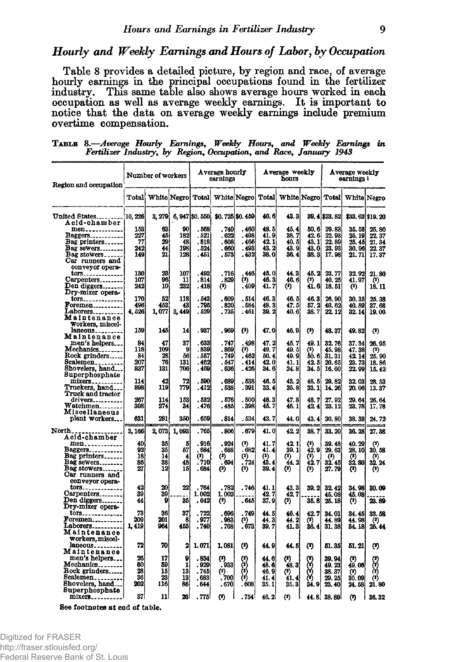#### *Hourly and Weekly Earnings and Hours of Labor***,** *by Occupation*

Table 8 provides a detailed picture, by region and race, of average hourly earnings in the principal occupations found in the fertilizer industry. This same table also shows average hours worked in each occupation as well as average weekly earnings. It is important to notice that the data on average weekly earnings include premium overtime compensation.

| Region and occupation              |            | Number of workers                                 |            | Average hourly<br>earnings |                       |                 | Average weekly<br>hours |                       |                       | Average weekly<br>earnings 1 |                                      |                            |
|------------------------------------|------------|---------------------------------------------------|------------|----------------------------|-----------------------|-----------------|-------------------------|-----------------------|-----------------------|------------------------------|--------------------------------------|----------------------------|
|                                    |            | Total   White Negro   Total   White Negro   Total |            |                            |                       |                 |                         |                       |                       |                              | White Negro Total White Negro        |                            |
| United States<br>Acid-chamber      | 10.226     | 3, 279                                            |            | 6, 947 \$0, 550            |                       | \$0.725 \$0.459 | 40.6                    | 43. 3                 |                       | 39.4 \$23.82                 |                                      | \$33, 63 \$19, 20          |
| men                                | 153        | 63                                                | 90         | . 568                      | . 740                 | . 460           | 48. 5                   | 45. 4                 | 50.6                  | 29.83                        | 35.58                                | 25, 80                     |
| Baggers                            | 227        | 45                                                | 182        | . 521                      | . 622                 | . 498           | 41.9                    | 38. 7                 | 42.6                  | 22.93                        | 25, 19                               | 22.37                      |
| Bag printers                       | 77         | 29                                                | 48         | .518                       | .608                  | .466            | 42.1                    | 40. b                 | 43.11                 | 22, 89                       | 25. 45                               | 21, 34                     |
| Bag sewers<br>Bag stowers          | 242<br>149 | 44<br>21                                          | 198<br>128 | .524<br>. 451              | . 660<br>. 573        | . 493<br>. 432  | 43.2<br>38.0            | 43. 9<br>36.4         | 43.0<br>38.3          | 23.93<br>17.98               | 30, 96<br>21.71                      | 22.37<br>17.37             |
| Car runners and<br>conveyor opera- |            |                                                   |            |                            |                       |                 |                         |                       |                       |                              |                                      |                            |
| tors                               | 130        | 23                                                | 107        | .493                       | . 716                 | 446             | 45.0                    | 44. 3                 | 45.2                  | 23.77                        | 32.92                                | 21.80                      |
| Carpenters                         | 107        | 96                                                | 11         | .814                       | . 829                 | (2)             | 46.3                    | 46. 6                 | O)                    | 40.25                        | 41. 97                               | $^{\left( 3\right) }$      |
| Den diggers                        | 242        | 10                                                | 232        | . 418                      | $^{\left( 3\right) }$ | . 409           | 41. 7                   | $^{\left( 2\right) }$ | 41.6                  | 18.51                        | $\boldsymbol{\theta}$                | 18.11                      |
| Dry-mixer opera-<br>tors           | 170        | 52                                                | 118        | .543                       | .609                  | . 514           | 46.3                    | 46.5                  | 46.3                  | 26, 90                       | 30.35                                | 25.38                      |
| Foremen                            | 496        | 453                                               | 43         | . 795                      | . 820                 | . 584           | 48.3                    | 47. 5                 | 57.2                  | 40.62                        | 40.89                                | 37.68                      |
| Laborers                           | 4,526      | 1,077                                             | 3,449      | . 529                      | . 735                 | . 461           | 39.2                    | 40. 6l                | 38, 7                 | 22.12                        | 32.14                                | 19.00                      |
| Maintenance                        |            |                                                   |            |                            |                       |                 |                         |                       |                       |                              |                                      |                            |
| Workers, miscel-                   |            |                                                   |            |                            |                       |                 |                         |                       |                       |                              |                                      |                            |
| laneous<br>Maintenance             | 159        | 145                                               | 14         | . 937                      | . 969                 | $(3)$           | 47.0                    | 46.9                  | O)                    | 48.37                        | 49.82                                | $(3)$                      |
| men's helpers                      | 84         | 47                                                | 37         | . 633                      | .747                  | 498             | 47.2                    | 45. 7                 | 49.1                  | 32.76                        | 37.34                                | 26.95                      |
| Mechanics                          | 118        | 109                                               | 9          | .839                       | .869                  | (2)             | 49.7                    | 49. ő                 | (8)                   | 45.98                        | 47.38                                | (2)                        |
| Rock grinders                      | 84         | 28                                                | 56         | . 557                      | .749                  | .462            | 50.4                    | 49.9                  | 50. GI                | 31, 31                       | 42 14                                | 25.90                      |
| Scalemen                           | 207        | 76                                                | 131        | . 462                      | . 547                 | . 414           | 42.0                    | 41. 1                 | 42.5                  | 20.65                        | 23.73                                | 18.86                      |
| Shovelers, hand                    | 837        | 131                                               | 706        | . 459                      | . 636                 | . 426           | 34.6                    | 34.81                 | 34.5                  | 16.60                        | 22.99                                | 15.42                      |
| Superphosphate                     | 114        | 42                                                | 72         | .590                       | .689                  | .538            | 46.5                    |                       | 48.5                  |                              |                                      |                            |
| Truckers, hand                     | 898        | 119                                               | 779        | . 412                      | . 538                 | . 391           | 33. 41                  | 43. 2<br>35.8         | 33.1                  | 29.82<br>14.26               | 32.03<br>20.06                       | 28.53<br>13.37             |
| Truck and tractor                  |            |                                                   |            |                            |                       |                 |                         |                       |                       |                              |                                      |                            |
| drivers                            | 267        | 114                                               | 153        | .532                       | .576                  | . 500           | 48.3                    | 47. 8                 | 48.7                  | 27.92                        | 29.64                                | 26.64                      |
| Watchmen                           | 308        | 274                                               | 34         | . 476                      | . 485                 | .398            | 45.7                    | 46. I                 | 42.4                  | 23.12                        | 23, 78                               | 17.78                      |
| Miscellaneous                      |            |                                                   |            |                            |                       |                 |                         |                       |                       |                              |                                      |                            |
| plant workers                      | 631        | 281                                               | 350        | . 659                      | . 814                 | . 534           | 43. 7                   | 44.0                  | 43.4                  | 30.80                        | 38.38                                | 24.72                      |
| North.                             | 3, 166     | 2,073                                             | 1,093      | . 765                      | .806                  | . 679           | 41. 0                   | 42. 2                 | 38.7                  | 33.20                        | 36, 28                               | 27.38                      |
| Acid-chamber                       |            |                                                   |            |                            |                       |                 |                         |                       |                       |                              |                                      |                            |
| men                                | 40         | 35                                                | 5          | .916                       | .924                  | $(2)$           | 41.7                    | 42.1                  | (*)                   | 39. 48                       | 40.29                                | $^{\text{\tiny{(1)}}}$     |
| Baggers                            | 92         | 35                                                | 57         | . 684                      | . 688                 | . 682           | 41. 4                   | 39.1                  | 42.9                  | 29.63                        | 28.10                                | 30.58                      |
| Bag printers                       | 18<br>86   | 14<br>38                                          | 4<br>48    | (2)<br>. 710               | (?)<br>. 694          | $(1)$<br>724    | (2)<br>À3. 4            | $\binom{1}{44.2}$     | $\binom{9}{42}$ 7     | $\frac{(3)}{32.45}$          | $\bf{^{\left( 3\right) }}$<br>32. SO | $\frac{1}{32}$ . 24        |
| Bag sewers<br>Bag stowers          | 27         | 12                                                | 15         | . 684                      | Ø                     | $^{\circ}$      | 39.4                    | $\bf{a}$              | $^{\left( 2\right) }$ | 27. 79                       | $\bf{^{\left( 3\right) }}$           | $(3)$                      |
| Car runners and                    |            |                                                   |            |                            |                       |                 |                         |                       |                       |                              |                                      |                            |
| conveyor opera-                    |            |                                                   |            |                            |                       |                 |                         |                       |                       |                              |                                      |                            |
| tors                               | 42         | 20                                                | 22         | . 764                      | . 782                 | . 746           | 41.1                    | 43.3                  | 39. 2l                | 32.42                        | 34.98                                | 30. OO                     |
| Carpenters                         | 39         | 39                                                |            | 1.002                      | 1.002                 |                 | 42.7                    | 42.7                  |                       | 45.08                        | 45.08                                |                            |
| Den diggers<br>Dry-mixer opera-    | 44         | 9                                                 | 35         | .642                       | $^{\circ}$            | . 645           | 37.9                    | (3)                   | 35.8                  | 25.18                        | $\bf{^{\left( 3\right) }}$           | 23. 89                     |
| tors <sub>--------------</sub>     | 73         | 36                                                | 37         | . 722                      | . 696                 | 749             | 44. 5                   | 46.4                  | 42.7                  | 34.01                        | 34.45                                | 33.58                      |
| Foremen                            | 209        | 201                                               | 8          | .977                       | . 983                 | $^{\circ}$      | 44.3                    | 44. 2                 | $^{\prime\prime)}$    | 44. 89                       | 44.98                                | $\bf{^{\left( 3\right) }}$ |
| Laborers                           | 1,419      | 964                                               | 455        | . 740                      | . 768                 | .673            | 39. 7                   | 41.3                  | 36. 4                 | 31.38                        | 34. 18                               | 26.44                      |
| Maintenance                        |            |                                                   |            |                            |                       |                 |                         |                       |                       |                              |                                      |                            |
| Workers, miscel-                   |            |                                                   |            |                            |                       |                 |                         |                       |                       |                              |                                      |                            |
| laneous                            | 72         | 70                                                | 2          | 1.071                      | 1.081                 | (*)             | 44. 9                   | 44. U                 | ⇔                     | 51. 35                       | 51. 21                               | Ø                          |
| Maintenance<br>men's helpers       | 26         | 17                                                | 9          | . 834                      |                       | (1)             | 44. 6                   | (*)                   | (X)                   | 39.94                        | (8)                                  |                            |
| Mechanics                          | 60         | 59                                                | 1          | .929                       | $\binom{3}{033}$      |                 | 48. 6                   | 48.3                  | ტ                     | 49.23                        | 49.06                                | ႙                          |
| Rock grinders                      | 28         | 15                                                | 13         | . 745                      | (2)                   | े<br>(१)        | 46.9                    | $^{\circ}$            | (ń)                   | 38.37                        | $(2)$                                | àŞ                         |
| Scalemen                           | 36         | 23                                                | 13         | . 683                      | .700                  | 倚               | 41.4                    | 41.4                  | ò,                    | 29. 25                       | 30.09                                | $(3)$                      |
| Shovelers, hand                    | 202        | 116                                               | 86         | . 644                      | . 670                 | .608            | 35.1                    | 35.3                  | 24. 9                 | 23.40                        | 24.58                                | 21.80                      |
| Superphosphate                     |            |                                                   |            |                            |                       |                 |                         |                       |                       |                              |                                      |                            |
|                                    | 37         | 11                                                | 26         | .775                       | $\bf{^{(3)}}$         | .754            | 46.2                    | $(2)$                 |                       | 44.8 38.89                   | (?)                                  | 36.32                      |

T able 8.— *Average Hourly Earnings***,** *Weekly Hours***,** *and Weekly Earnings in Fertilizer Industry***,** *by Region***»** *Occupation, and Race***,** *January 1943*

See footnotes at end of table.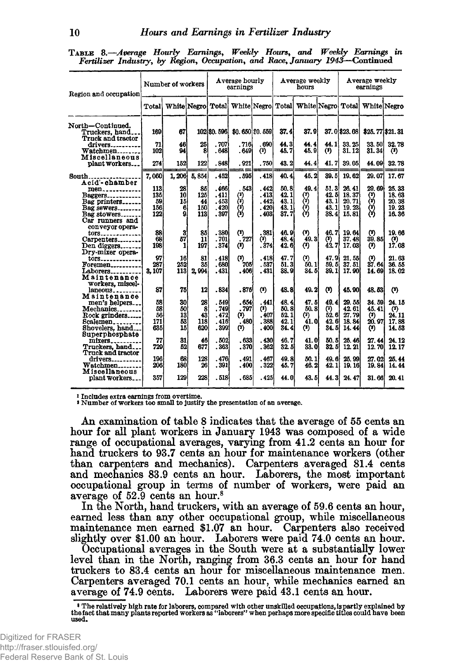| TABLE 8.-Average Hourly Earnings, Weekly Hours, and Weekly Earnings in       |  |  |  |  |
|------------------------------------------------------------------------------|--|--|--|--|
| Fertilizer Industry, by Region, Occupation, and Race, January 1943–Continued |  |  |  |  |

| Region and occupation                           | Number of workers |              |       |             | Average hourly<br>earnings                  |          |              | Average weekly<br>hours |          | Average weekly<br>earnings |                               |                   |
|-------------------------------------------------|-------------------|--------------|-------|-------------|---------------------------------------------|----------|--------------|-------------------------|----------|----------------------------|-------------------------------|-------------------|
|                                                 | Total             | White Negro  |       |             | Total White Negro                           |          | Total        |                         |          |                            | White Negro Total White Negro |                   |
| North-Continued.                                |                   |              |       |             |                                             |          |              |                         |          |                            |                               |                   |
| Truckers, hand                                  | 169               | 67           |       | 102 \$0.596 | \$0.650 \$0.559]                            |          | 37. 41       | 37. OI                  |          | 37.0 \$23.08               |                               | \$25, 77 \$21, 31 |
| <b>Truck and tractor</b><br>drivers             | 71                | 46           | 25    | .707        | . 716                                       | . 690    | 44.3         | 44.4                    | 44.1     | 33.25                      | 33. 50                        | 32.78             |
| $W atchmen ________ ________ ________ ________$ | 102               | 94           | 8     | .648        | . 649                                       | $^{(2)}$ | 45.7         | 45.9                    | $(3)$    | 31.12                      | 31.34                         | $(3)$             |
| Miscellaneous                                   |                   |              |       |             |                                             |          |              |                         |          |                            |                               |                   |
| plant workers                                   | 274               | 152          | 122   | .848        | .921                                        | .750     | 43.2         | 44.4                    | 41.7     | 39.05                      | 44.09                         | 32.78             |
|                                                 |                   |              |       |             |                                             |          |              |                         |          |                            |                               |                   |
| South.                                          | 7.060             | 1,206        | 5,854 | . 452       | . 595                                       | .418     | 40.4         | 45.2                    | 39.5     | 19.62                      | 29.07                         | 17.67             |
| Acid'-chamber                                   | 113               | 28           | 85    | .466        | . 543                                       | .442     | 50.8         | 49.4                    | 51.3     | 26, 41                     | 29. 69                        | 25.33             |
| men<br><b>Baggers</b>                           | 135               | 10           | 125   | .411        |                                             | . 413    | 42.1         |                         | 42. BI   | 18.37                      |                               | 18.63             |
| Bag printers                                    | 59                | 15           | 44    | .453        | $\begin{pmatrix} 3 \\ 0 \\ 1 \end{pmatrix}$ | .442     | 43.1         | 3                       | 43. 1    | 20.71                      | وي<br>ون<br>ون                | 20.38             |
| Bag sewers                                      | 156               | 6            | 150   | .420        |                                             | .420     | 43.1         |                         | 43. Il   | 19.23                      |                               | 19.23             |
| Bag stowers                                     | 122               | 9            | 113   | .397        |                                             | .403     | 37.7         | (?)<br>(?)              | 38.4I    | 15.81                      |                               | 16.36             |
| Car runners and                                 |                   |              |       |             |                                             |          |              |                         |          |                            |                               |                   |
| conveyor opera-                                 |                   |              |       |             |                                             |          |              |                         |          |                            |                               |                   |
| tors                                            | 88                | $\mathbf{3}$ | 85    | .380        | (?)                                         | .381     | 46.9         | (2)                     | 46.7     | 19.64                      | (3)                           | 19.66             |
| Carpenters                                      | 68                | 57           | 11    | .701        | .727                                        | (3)      | 48.4         | 49.3                    | $\bf{a}$ | 37.48                      | 39. S5İ                       | $(1)$             |
| Den diggers                                     | 198               | 1            | 197   | .374        | (1)                                         | .374     | 42.6         | $^{\circ}$              | 42.7     | <b>17.03</b>               | $(1)$                         | 17.08             |
| Dry-mixer opera-                                |                   |              |       |             |                                             |          |              |                         |          |                            |                               |                   |
| tors                                            | 97                | 16           | 81    | . 418       | $(2)$                                       | .418     | 47.7         | $(2)$                   | 47. 9i   | 21.55                      | $(3)$                         | 21.63             |
| Foremen                                         | 287               | 252          | 35    | . 680       | 705                                         | .537     | 51.3         | 50.1                    | 59.5     | 37.51                      | 37.64                         | 36.55             |
| $Laborers$ <sub>----------</sub>                | 3, 107            | 113          | 2,994 | . 431       | .406                                        | . 431    | 38.9         | 34.5                    | 39. Il   | 17.90                      | 14.69                         | 18.02             |
| Maintenance                                     |                   |              |       |             |                                             |          |              |                         |          |                            |                               |                   |
| workers, miscel-                                |                   |              |       |             |                                             |          |              |                         |          |                            |                               |                   |
| laneous                                         | 87                | 75           | 12    | .834        | .875                                        | $(3)$    | 48.8         | 49.2                    | $^{(1)}$ | 45.90                      | 48.53                         | (3)               |
| Maintenance                                     |                   |              |       |             |                                             |          |              |                         |          |                            |                               |                   |
| men's helpers                                   | 58                | 30           | 28    | .549        | . 654                                       | .441     | 48.4         | 47.5                    | 49.4     | 29.55                      | 34.59                         | 24.15             |
| Mechanics                                       | 58                | 50           | 8     | .749        | . 797                                       | (2)      | 50.8         | 50, 8                   | (2)      | 42.61                      | 45.41                         | (2)               |
| Rock grinders                                   | 56                | 13           | 43    | .472        | $(3)$                                       | .407     | 52.1         | (2)                     | 52.6     | 27.79                      | $(2)$                         | 24.11             |
| Scalemen                                        | 171               | 53           | 118   | .416        | . 480                                       | .388     | 42.1         | 41. OI                  | 42.6     | 18.84                      | 20.97                         | 17.88             |
| Shovelers, hand                                 | 635               | 15           | 620   | . 399       | (3)                                         | . 400    | 34.4         | $(3)$                   | 34. 5    | 14.44                      | $\bf{r}$                      | 14.53             |
| Superphosphate                                  |                   |              |       |             |                                             |          |              |                         |          |                            |                               |                   |
| mixers                                          | 77                | 31           | 46    | .502        | .633                                        | .430     | 46.7         | 41.0                    | 50.5     | 25.46                      | 27.44                         | 24.12             |
| Truckers, hand.                                 | 729               | 52           | 677   | .363        | .370                                        | .362     | 32.5         | 33. Ol                  | 32. 5I   | 12.21                      | 12.70                         | 12.17             |
| Truck and tractor                               | 196               | 68           | 128   | .476        | .491                                        | .467     |              |                         | 49.6     |                            |                               |                   |
| drivers<br>$\mathbf{W}$ atchmen                 | 206               | 180          | 26    | .391        | . 400                                       | .322     | 49.8<br>45.7 | 50.1<br>46.2            | 42.1     | 25, 99<br><b>19.16</b>     | 27.02<br>19.84                | 25.44<br>14.44    |
| Miscellaneous                                   |                   |              |       |             |                                             |          |              |                         |          |                            |                               |                   |
| plant workers.                                  | 357               | 129          | 228   | .518        | .685                                        | .425     | 44.0         | 43.5                    | 44.3     | 24, 47                     | 31.66                         | 20.41             |

i Includes extra earnings from overtime.

» Number of workers too small to justify the presentation of an average.

An examination of table 8 indicates that the average of 55 cents an hour for all plant workers in January 1943 was composed of a wide range of occupational averages, varying from 41.2 cents an hour for hand truckers to 93.7 cents an hour for maintenance workers (other than carpenters and mechanics). Carpenters averaged 81.4 cents and mechanics 83.9 cents an hour. Laborers, the most important occupational group in terms of number of workers, were paid an average of 52.9 cents an hour.8

In the North, hand truckers, with an average of 59.6 cents an hour, earned less than any other occupational group, while miscellaneous maintenance men earned \$1.07 an hour. Carpenters also received slightly over \$1.00 an hour. Laborers were paid 74.0 cents an hour.

Occupational averages in the South were at a substantially lower level than in the North, ranging from 36.3 cents an hour for hand truckers to 83.4 cents an hour for miscellaneous maintenance men. Carpenters averaged 70.1 cents an hour, while mechanics earned an average of 74.9 cents. Laborers were paid 43.1 cents an hour.

<sup>8</sup> The relatively high rate for laborers, compared with other unskilled occupations, is partly explained by the fact that many plants reported workers as " laborers" when perhaps more specific titles could have been used.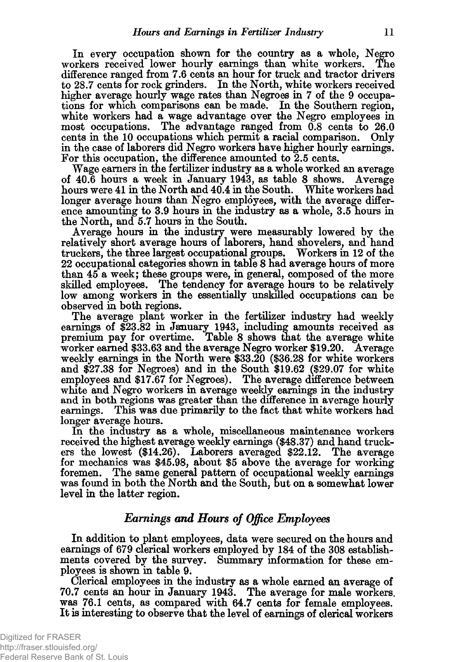In every occupation shown for the country as a whole, Negro workers received lower hourly earnings than white workers. The difference ranged from 7.6 cents an hour for truck and tractor drivers to 28.7 cents for rock grinders. In the North, white workers received higher average hourly wage rates than Negroes in 7 of the 9 occupations for which comparisons can be made. In the Southern region, white workers had a wage advantage over the Negro employees in most occupations. The advantage ranged from 0.8 cents to 26.0 cents in the 10 occupations which permit a racial comparison. Only in the case of laborers did Negro workers have higher hourly earnings. For this occupation, the difference amounted to 2.5 cents.

Wage earners in the fertilizer industry as a whole worked an average of 40.6 hours a week in January 1943, as table 8 shows. Average hours were 41 in the North and 40.4 in the South. White workers had longer average hours than Negro employees, with the average difference amounting to 3.9 hours in the industry as a whole, 3.5 hours in the North, and 5.7 hours in the South.

Average hours in the industiy were measurably lowered by the relatively short average hours of laborers, hand shovelers, and hand truckers, the three largest occupational groups. Workers in 12 of the 22 occupational categories shown in table 8 had average hours of more than 45 a week; these groups were, in general, composed of the more skilled employees. The tendency for average hours to be relatively low among workers in the essentially unskilled occupations can be observed in both regions.

The average plant worker in the fertilizer industry had weekly earnings of \$23.82 in January 1943, including amounts received as premium pay for overtime. Table 8 shows that the average white worker earned \$33.63 and the average Negro worker \$19.20. Average weekly earnings in the North were \$33.20 (\$36.28 for white workers and \$27.38 for Negroes) and in the South \$19.62 (\$29.07 for white employees and \$17.67 for Negroes). The average difference between white and Negro workers in average weekly earnings in the industry and in both regions was greater than the difference in average hourly earnings. This was due primarily to the fact that white workers had longer average hours.

In the industry as a whole, miscellaneous maintenance workers received the highest average weekly earnings (\$48.37) and hand truckers the lowest (\$14.26). Laborers averaged \$22.12. The average for mechanics was \$45.98, about \$5 above the average for working foremen. The same general pattern of occupational weekly earnings was found in both the North and the South, but on a somewhat lower level in the latter region.

#### *Earnings and Hours of Office Employees*

<span id="page-13-0"></span>In addition to plant employees, data were secured on the hours and earnings of 679 clerical workers employed by 184 of the 308 establishments covered by the survey. Summary information for these employees is shown in table 9.

Clerical employees in the industry as a whole earned an average of 70.7 cents an hour in January 1943. The average for male workers, was 76.1 cents, as compared with 64.7 cents for female employees. It is interesting to observe that the level of earnings of clerical workers